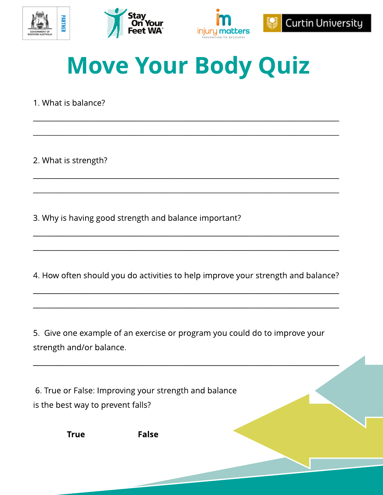





# **Move Your Body Quiz**

1. What is balance?

2. What is strength?

3. Why is having good strength and balance important?

4. How often should you do activities to help improve your strength and balance?

5. Give one example of an exercise or program you could do to improve your strength and/or balance.

6. True or False: Improving your strength and balance is the best way to prevent falls?

**True** 

**False**